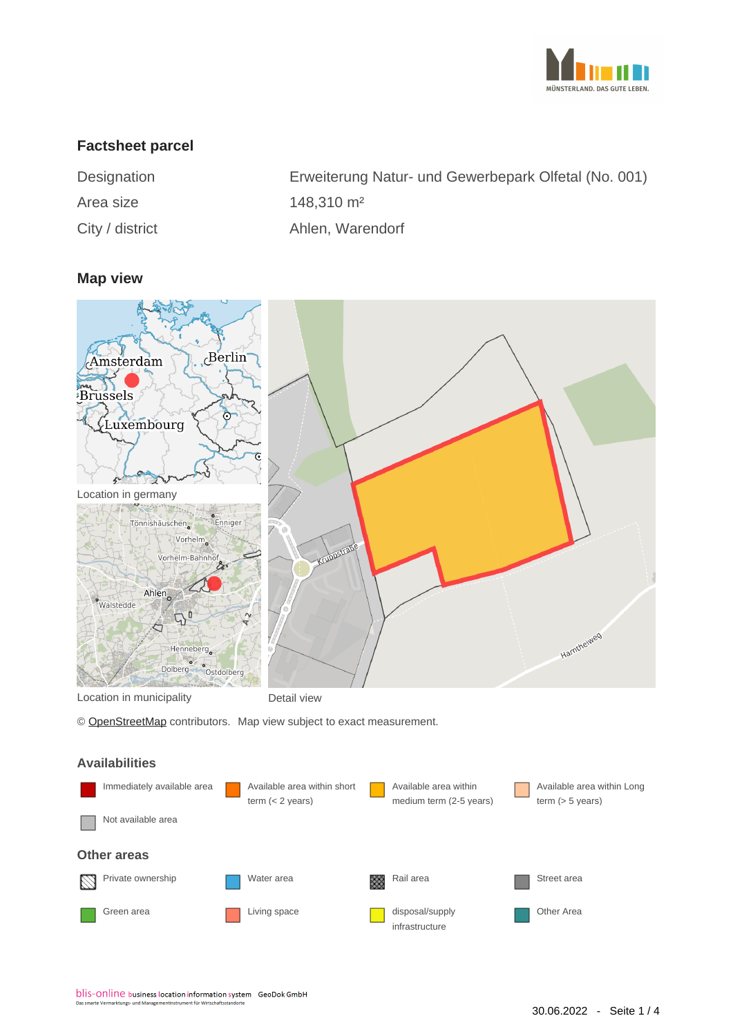

# **Factsheet parcel**

| Designation     | Erweiterung Natur- und Gewerbepark Olfetal (No. 001) |
|-----------------|------------------------------------------------------|
| Area size       | $148.310 \text{ m}^2$                                |
| City / district | Ahlen, Warendorf                                     |

#### **Map view**



© [OpenStreetMap](http://www.openstreetmap.org/copyright) contributors. Map view subject to exact measurement.

#### **Availabilities**

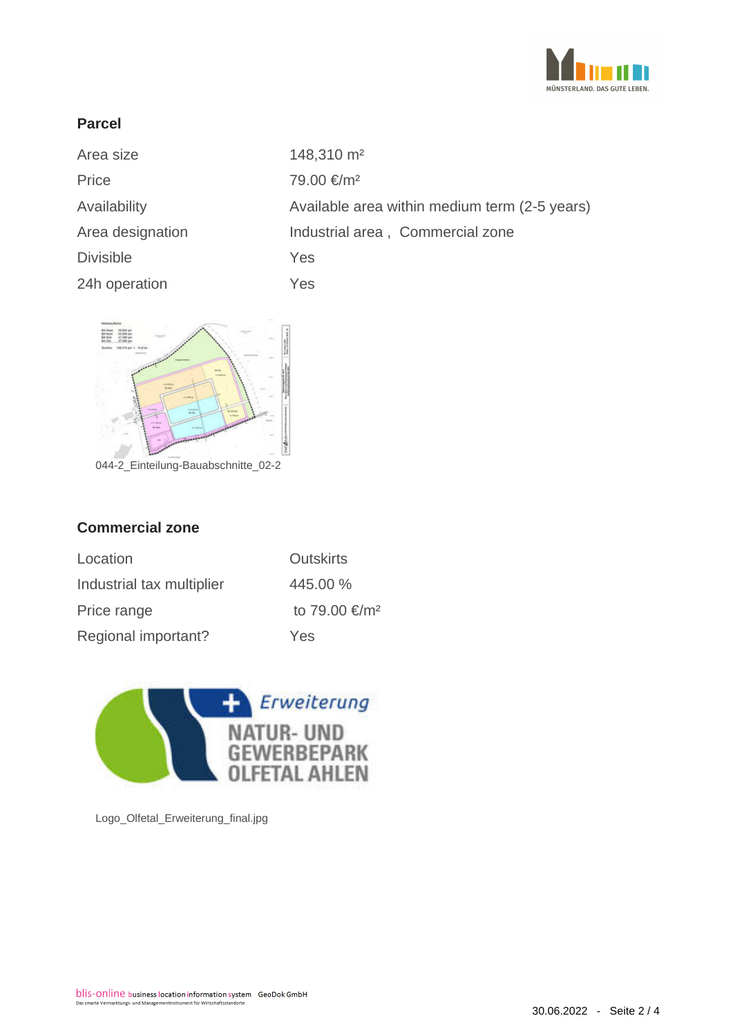

# **Parcel**

| Area size        | 148,310 m <sup>2</sup>                        |
|------------------|-----------------------------------------------|
| Price            | 79.00 €/m <sup>2</sup>                        |
| Availability     | Available area within medium term (2-5 years) |
| Area designation | Industrial area, Commercial zone              |
| <b>Divisible</b> | Yes                                           |
| 24h operation    | Yes                                           |



044-2\_Einteilung-Bauabschnitte\_02-2

## **Commercial zone**

| Location                  | <b>Outskirts</b>          |
|---------------------------|---------------------------|
| Industrial tax multiplier | 445.00 %                  |
| Price range               | to 79.00 €/m <sup>2</sup> |
| Regional important?       | Yes                       |



Logo\_Olfetal\_Erweiterung\_final.jpg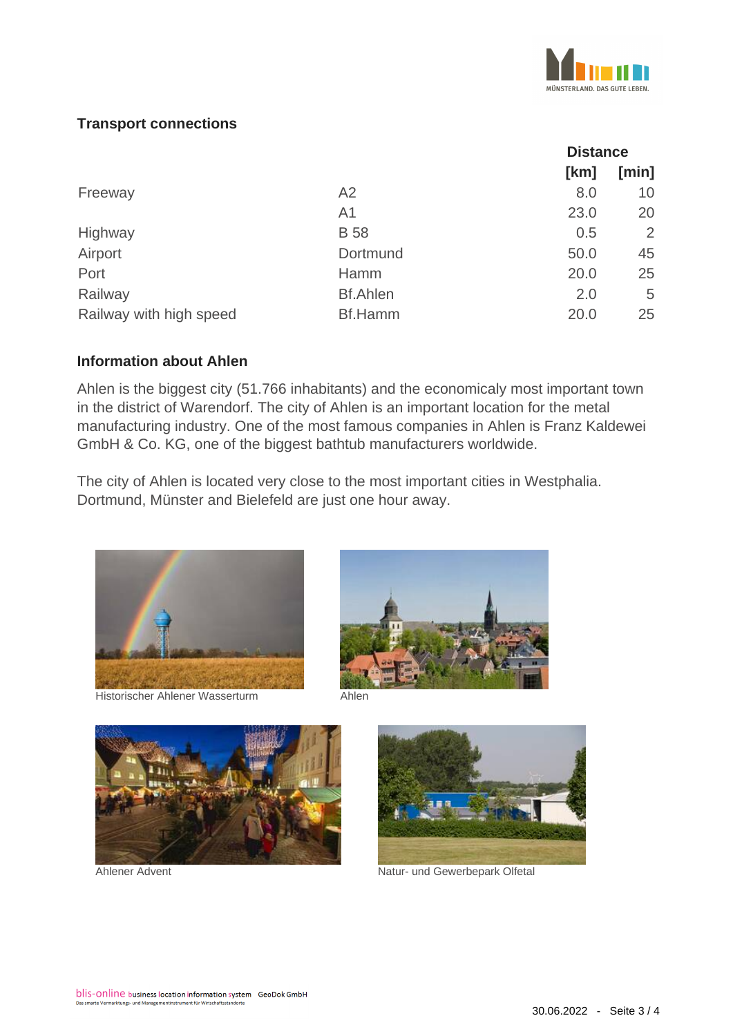

# **Transport connections**

|                         |                 | <b>Distance</b> |       |
|-------------------------|-----------------|-----------------|-------|
|                         |                 | [km]            | [min] |
| Freeway                 | A2              | 8.0             | 10    |
|                         | A <sub>1</sub>  | 23.0            | 20    |
| Highway                 | <b>B</b> 58     | 0.5             | 2     |
| Airport                 | Dortmund        | 50.0            | 45    |
| Port                    | Hamm            | 20.0            | 25    |
| Railway                 | <b>Bf.Ahlen</b> | 2.0             | 5     |
| Railway with high speed | <b>Bf.Hamm</b>  | 20.0            | 25    |

#### **Information about Ahlen**

Ahlen is the biggest city (51.766 inhabitants) and the economicaly most important town in the district of Warendorf. The city of Ahlen is an important location for the metal manufacturing industry. One of the most famous companies in Ahlen is Franz Kaldewei GmbH & Co. KG, one of the biggest bathtub manufacturers worldwide.

The city of Ahlen is located very close to the most important cities in Westphalia. Dortmund, Münster and Bielefeld are just one hour away.



Historischer Ahlener Wasserturm Ahlen







Ahlener Advent Natur- und Gewerbepark Olfetal